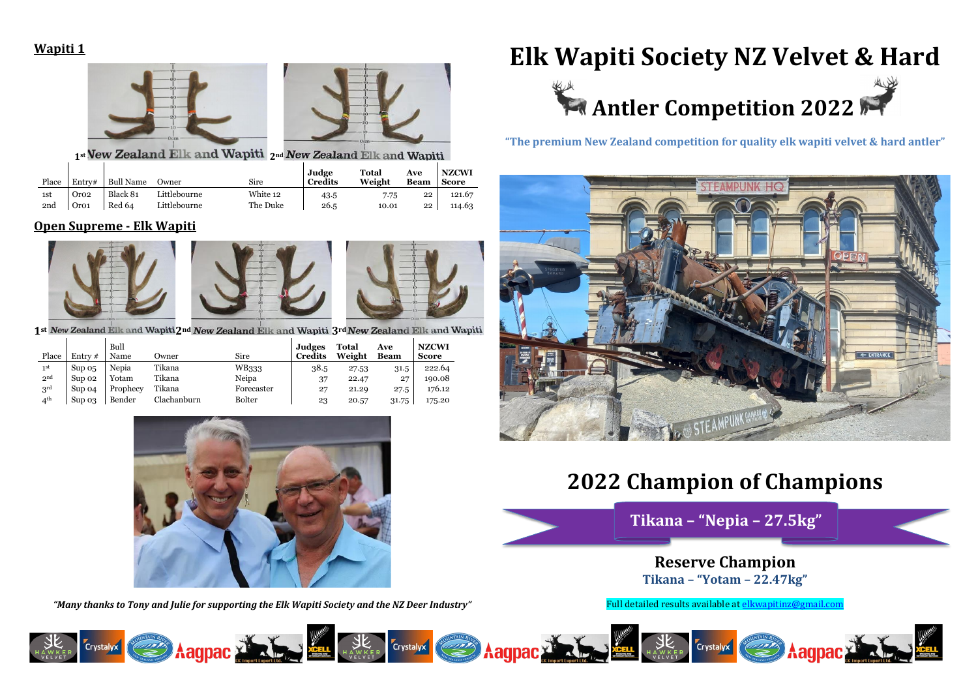

### **Wapiti 1**



### 1<sup>st</sup> New Zealand Elk and Wapiti 2<sup>nd</sup> New Zealand Elk and Wapiti

| Place | Entry#           | <b>Bull Name</b> | Owner        | Sire     | Judge<br><b>Credits</b> | <b>Total</b><br>Weight | Ave<br><b>Beam</b> | <b>NZCWI</b><br>Score |
|-------|------------------|------------------|--------------|----------|-------------------------|------------------------|--------------------|-----------------------|
| 1st   | Oro2             | Black 81         | Littlebourne | White 12 | 43.5                    | 7.75                   | 22                 | 121.67                |
| 2nd   | Oro <sub>1</sub> | Red 64           | Littlebourne | The Duke | 26.5                    | 10.01                  | 22                 | 114.63                |

## **Open Supreme - Elk Wapiti**







1<sup>st</sup> New Zealand Elk and Wapiti 2<sup>nd</sup> New Zealand Elk and Wapiti 3<sup>rd</sup> New Zealand Elk and Wapiti

| Place           | Entry $#$  | Bull<br>Name | Owner       | Sire       | Judges<br><b>Credits</b> | <b>Total</b><br>Weight | Ave<br><b>Beam</b> | <b>NZCWI</b><br><b>Score</b> |
|-----------------|------------|--------------|-------------|------------|--------------------------|------------------------|--------------------|------------------------------|
| 1 <sup>st</sup> | $\sup$ 0.5 | Nepia        | Tikana      | WB333      | 38.5                     | 27.53                  | 31.5               | 222.64                       |
| 2 <sup>nd</sup> | Sup 02     | Yotam        | Tikana      | Neipa      | 37                       | 22.47                  | 27                 | 190.08                       |
| $3^{\rm rd}$    | Sup 04     | Prophecy     | Tikana      | Forecaster | 27                       | 21.29                  | 27.5               | 176.12                       |
| 4 <sup>th</sup> | Sup 0.3    | Bender       | Clachanburn | Bolter     | 23                       | 20.57                  | 31.75              | 175.20                       |



*"Many thanks to Tony and Julie for supporting the Elk Wapiti Society and the NZ Deer Industry"*

Full detailed results available a[t elkwapitinz@gmail.com](mailto:elkwapitinz@gmail.com)

![](_page_0_Picture_12.jpeg)

**"The premium New Zealand competition for quality elk wapiti velvet & hard antler"**

![](_page_0_Picture_14.jpeg)

# **2022 Champion of Champions**

**Reserve Champion Tikana – "Yotam – 22.47kg"**

![](_page_0_Picture_16.jpeg)